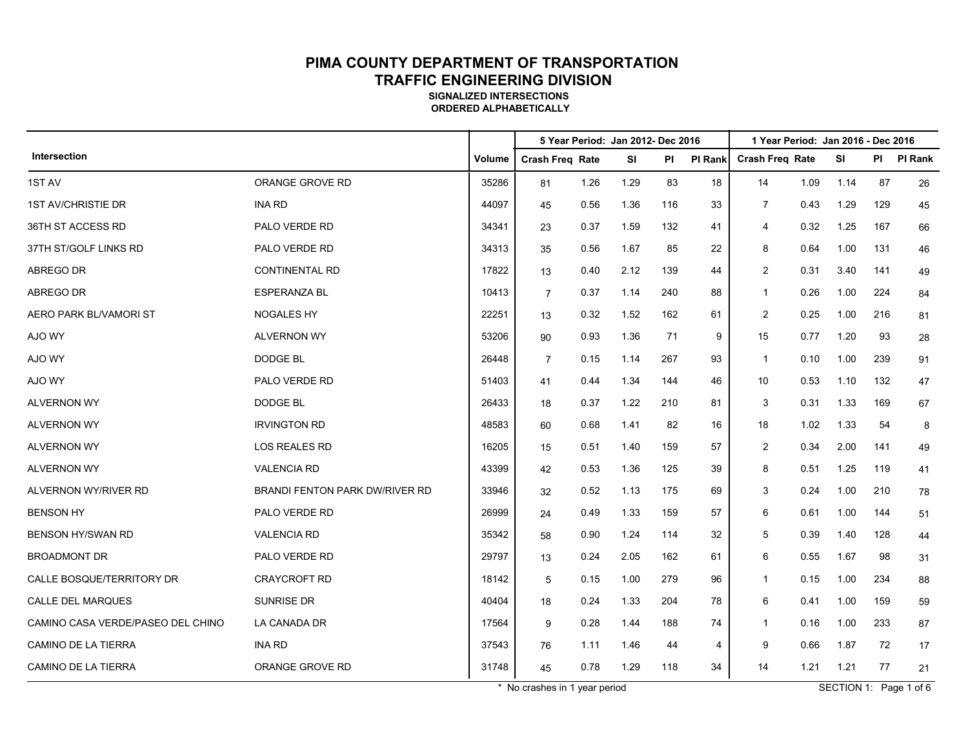**SIGNALIZED INTERSECTIONS ORDERED ALPHABETICALLY**

|                                   |                                |        |                        |      | 5 Year Period: Jan 2012- Dec 2016 |     |                | 1 Year Period: Jan 2016 - Dec 2016 |      |           |      |         |
|-----------------------------------|--------------------------------|--------|------------------------|------|-----------------------------------|-----|----------------|------------------------------------|------|-----------|------|---------|
| Intersection                      |                                | Volume | <b>Crash Freq Rate</b> |      | <b>SI</b>                         | ΡI  | <b>PI Rank</b> | <b>Crash Freq Rate</b>             |      | <b>SI</b> | PI – | PI Rank |
| 1ST AV                            | ORANGE GROVE RD                | 35286  | 81                     | 1.26 | 1.29                              | 83  | 18             | 14                                 | 1.09 | 1.14      | 87   | 26      |
| <b>1ST AV/CHRISTIE DR</b>         | <b>INA RD</b>                  | 44097  | 45                     | 0.56 | 1.36                              | 116 | 33             | $\overline{7}$                     | 0.43 | 1.29      | 129  | 45      |
| 36TH ST ACCESS RD                 | PALO VERDE RD                  | 34341  | 23                     | 0.37 | 1.59                              | 132 | 41             | 4                                  | 0.32 | 1.25      | 167  | 66      |
| 37TH ST/GOLF LINKS RD             | PALO VERDE RD                  | 34313  | 35                     | 0.56 | 1.67                              | 85  | 22             | 8                                  | 0.64 | 1.00      | 131  | 46      |
| ABREGO DR                         | <b>CONTINENTAL RD</b>          | 17822  | 13                     | 0.40 | 2.12                              | 139 | 44             | 2                                  | 0.31 | 3.40      | 141  | 49      |
| <b>ABREGO DR</b>                  | <b>ESPERANZA BL</b>            | 10413  | $\overline{7}$         | 0.37 | 1.14                              | 240 | 88             | $\mathbf{1}$                       | 0.26 | 1.00      | 224  | 84      |
| AERO PARK BL/VAMORI ST            | <b>NOGALES HY</b>              | 22251  | 13                     | 0.32 | 1.52                              | 162 | 61             | 2                                  | 0.25 | 1.00      | 216  | 81      |
| AJO WY                            | <b>ALVERNON WY</b>             | 53206  | 90                     | 0.93 | 1.36                              | 71  | 9              | 15                                 | 0.77 | 1.20      | 93   | 28      |
| AJO WY                            | DODGE BL                       | 26448  | $\overline{7}$         | 0.15 | 1.14                              | 267 | 93             | $\mathbf{1}$                       | 0.10 | 1.00      | 239  | 91      |
| AJO WY                            | PALO VERDE RD                  | 51403  | 41                     | 0.44 | 1.34                              | 144 | 46             | 10                                 | 0.53 | 1.10      | 132  | 47      |
| <b>ALVERNON WY</b>                | <b>DODGE BL</b>                | 26433  | 18                     | 0.37 | 1.22                              | 210 | 81             | 3                                  | 0.31 | 1.33      | 169  | 67      |
| <b>ALVERNON WY</b>                | <b>IRVINGTON RD</b>            | 48583  | 60                     | 0.68 | 1.41                              | 82  | 16             | 18                                 | 1.02 | 1.33      | 54   | 8       |
| <b>ALVERNON WY</b>                | <b>LOS REALES RD</b>           | 16205  | 15                     | 0.51 | 1.40                              | 159 | 57             | $\overline{2}$                     | 0.34 | 2.00      | 141  | 49      |
| <b>ALVERNON WY</b>                | <b>VALENCIA RD</b>             | 43399  | 42                     | 0.53 | 1.36                              | 125 | 39             | 8                                  | 0.51 | 1.25      | 119  | 41      |
| ALVERNON WY/RIVER RD              | BRANDI FENTON PARK DW/RIVER RD | 33946  | 32                     | 0.52 | 1.13                              | 175 | 69             | 3                                  | 0.24 | 1.00      | 210  | 78      |
| <b>BENSON HY</b>                  | PALO VERDE RD                  | 26999  | 24                     | 0.49 | 1.33                              | 159 | 57             | 6                                  | 0.61 | 1.00      | 144  | 51      |
| <b>BENSON HY/SWAN RD</b>          | <b>VALENCIA RD</b>             | 35342  | 58                     | 0.90 | 1.24                              | 114 | 32             | 5                                  | 0.39 | 1.40      | 128  | 44      |
| <b>BROADMONT DR</b>               | PALO VERDE RD                  | 29797  | 13                     | 0.24 | 2.05                              | 162 | 61             | 6                                  | 0.55 | 1.67      | 98   | 31      |
| CALLE BOSQUE/TERRITORY DR         | <b>CRAYCROFT RD</b>            | 18142  | 5                      | 0.15 | 1.00                              | 279 | 96             | $\mathbf{1}$                       | 0.15 | 1.00      | 234  | 88      |
| <b>CALLE DEL MARQUES</b>          | SUNRISE DR                     | 40404  | 18                     | 0.24 | 1.33                              | 204 | 78             | 6                                  | 0.41 | 1.00      | 159  | 59      |
| CAMINO CASA VERDE/PASEO DEL CHINO | LA CANADA DR                   | 17564  | 9                      | 0.28 | 1.44                              | 188 | 74             | $\mathbf{1}$                       | 0.16 | 1.00      | 233  | 87      |
| <b>CAMINO DE LA TIERRA</b>        | <b>INA RD</b>                  | 37543  | 76                     | 1.11 | 1.46                              | 44  | 4              | 9                                  | 0.66 | 1.87      | 72   | 17      |
| <b>CAMINO DE LA TIERRA</b>        | ORANGE GROVE RD                | 31748  | 45                     | 0.78 | 1.29                              | 118 | 34             | 14                                 | 1.21 | 1.21      | 77   | 21      |

\* No crashes in 1 year period SECTION 1: Page 1 of 6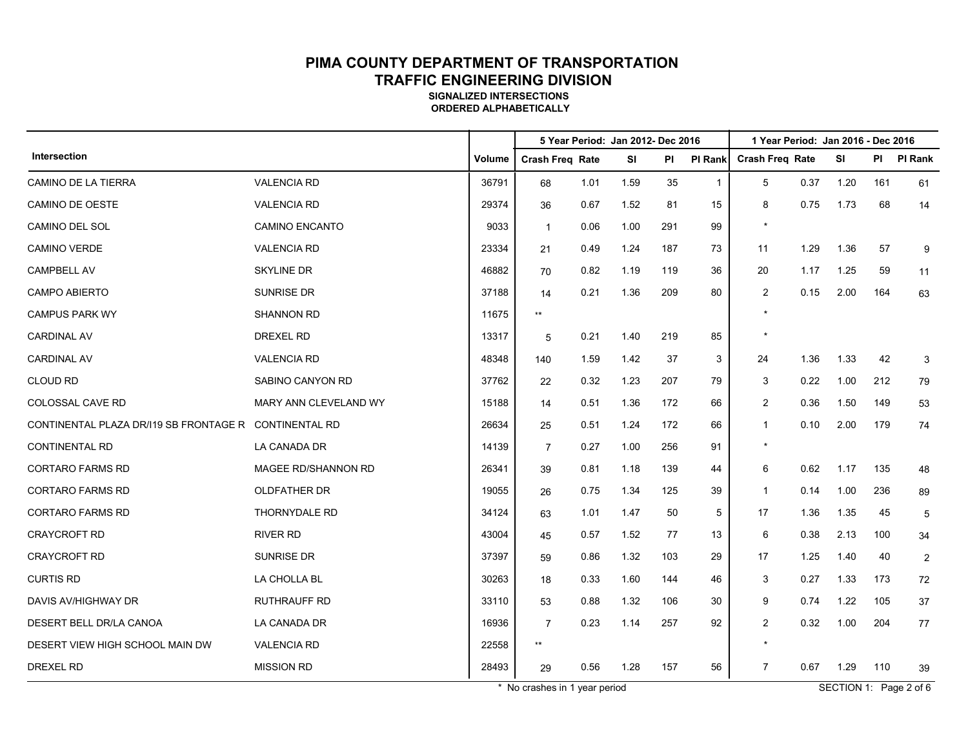**SIGNALIZED INTERSECTIONS ORDERED ALPHABETICALLY**

|                                        |                       |        |                        | 5 Year Period: Jan 2012- Dec 2016 |           |     |                | 1 Year Period: Jan 2016 - Dec 2016 |      |      |     |                |  |
|----------------------------------------|-----------------------|--------|------------------------|-----------------------------------|-----------|-----|----------------|------------------------------------|------|------|-----|----------------|--|
| Intersection                           |                       | Volume | <b>Crash Freq Rate</b> |                                   | <b>SI</b> | PI  | PI Rank        | <b>Crash Freq Rate</b>             |      | SI   | PI  | PI Rank        |  |
| CAMINO DE LA TIERRA                    | <b>VALENCIA RD</b>    | 36791  | 68                     | 1.01                              | 1.59      | 35  | $\overline{1}$ | 5                                  | 0.37 | 1.20 | 161 | 61             |  |
| CAMINO DE OESTE                        | <b>VALENCIA RD</b>    | 29374  | 36                     | 0.67                              | 1.52      | 81  | 15             | 8                                  | 0.75 | 1.73 | 68  | 14             |  |
| CAMINO DEL SOL                         | <b>CAMINO ENCANTO</b> | 9033   | $\mathbf{1}$           | 0.06                              | 1.00      | 291 | 99             | $^\star$                           |      |      |     |                |  |
| <b>CAMINO VERDE</b>                    | <b>VALENCIA RD</b>    | 23334  | 21                     | 0.49                              | 1.24      | 187 | 73             | 11                                 | 1.29 | 1.36 | 57  | 9              |  |
| CAMPBELL AV                            | <b>SKYLINE DR</b>     | 46882  | 70                     | 0.82                              | 1.19      | 119 | 36             | 20                                 | 1.17 | 1.25 | 59  | 11             |  |
| <b>CAMPO ABIERTO</b>                   | SUNRISE DR            | 37188  | 14                     | 0.21                              | 1.36      | 209 | 80             | 2                                  | 0.15 | 2.00 | 164 | 63             |  |
| <b>CAMPUS PARK WY</b>                  | <b>SHANNON RD</b>     | 11675  | k*                     |                                   |           |     |                | $^\star$                           |      |      |     |                |  |
| <b>CARDINAL AV</b>                     | <b>DREXEL RD</b>      | 13317  | 5                      | 0.21                              | 1.40      | 219 | 85             |                                    |      |      |     |                |  |
| <b>CARDINAL AV</b>                     | <b>VALENCIA RD</b>    | 48348  | 140                    | 1.59                              | 1.42      | 37  | 3              | 24                                 | 1.36 | 1.33 | 42  | 3              |  |
| <b>CLOUD RD</b>                        | SABINO CANYON RD      | 37762  | 22                     | 0.32                              | 1.23      | 207 | 79             | 3                                  | 0.22 | 1.00 | 212 | 79             |  |
| COLOSSAL CAVE RD                       | MARY ANN CLEVELAND WY | 15188  | 14                     | 0.51                              | 1.36      | 172 | 66             | 2                                  | 0.36 | 1.50 | 149 | 53             |  |
| CONTINENTAL PLAZA DR/I19 SB FRONTAGE R | <b>CONTINENTAL RD</b> | 26634  | 25                     | 0.51                              | 1.24      | 172 | 66             | $\mathbf{1}$                       | 0.10 | 2.00 | 179 | 74             |  |
| <b>CONTINENTAL RD</b>                  | LA CANADA DR          | 14139  | $\overline{7}$         | 0.27                              | 1.00      | 256 | 91             | $^\star$                           |      |      |     |                |  |
| <b>CORTARO FARMS RD</b>                | MAGEE RD/SHANNON RD   | 26341  | 39                     | 0.81                              | 1.18      | 139 | 44             | 6                                  | 0.62 | 1.17 | 135 | 48             |  |
| <b>CORTARO FARMS RD</b>                | OLDFATHER DR          | 19055  | 26                     | 0.75                              | 1.34      | 125 | 39             | $\mathbf{1}$                       | 0.14 | 1.00 | 236 | 89             |  |
| <b>CORTARO FARMS RD</b>                | <b>THORNYDALE RD</b>  | 34124  | 63                     | 1.01                              | 1.47      | 50  | 5              | 17                                 | 1.36 | 1.35 | 45  | 5              |  |
| <b>CRAYCROFT RD</b>                    | <b>RIVER RD</b>       | 43004  | 45                     | 0.57                              | 1.52      | 77  | 13             | 6                                  | 0.38 | 2.13 | 100 | 34             |  |
| <b>CRAYCROFT RD</b>                    | <b>SUNRISE DR</b>     | 37397  | 59                     | 0.86                              | 1.32      | 103 | 29             | 17                                 | 1.25 | 1.40 | 40  | $\overline{2}$ |  |
| <b>CURTIS RD</b>                       | LA CHOLLA BL          | 30263  | 18                     | 0.33                              | 1.60      | 144 | 46             | 3                                  | 0.27 | 1.33 | 173 | 72             |  |
| DAVIS AV/HIGHWAY DR                    | <b>RUTHRAUFF RD</b>   | 33110  | 53                     | 0.88                              | 1.32      | 106 | 30             | 9                                  | 0.74 | 1.22 | 105 | 37             |  |
| DESERT BELL DR/LA CANOA                | LA CANADA DR          | 16936  | $\overline{7}$         | 0.23                              | 1.14      | 257 | 92             | $\overline{2}$                     | 0.32 | 1.00 | 204 | 77             |  |
| DESERT VIEW HIGH SCHOOL MAIN DW        | <b>VALENCIA RD</b>    | 22558  | k*                     |                                   |           |     |                | $\star$                            |      |      |     |                |  |
| <b>DREXEL RD</b>                       | <b>MISSION RD</b>     | 28493  | 29                     | 0.56                              | 1.28      | 157 | 56             | $\overline{7}$                     | 0.67 | 1.29 | 110 | 39             |  |

\* No crashes in 1 year period SECTION 1: Page 2 of 6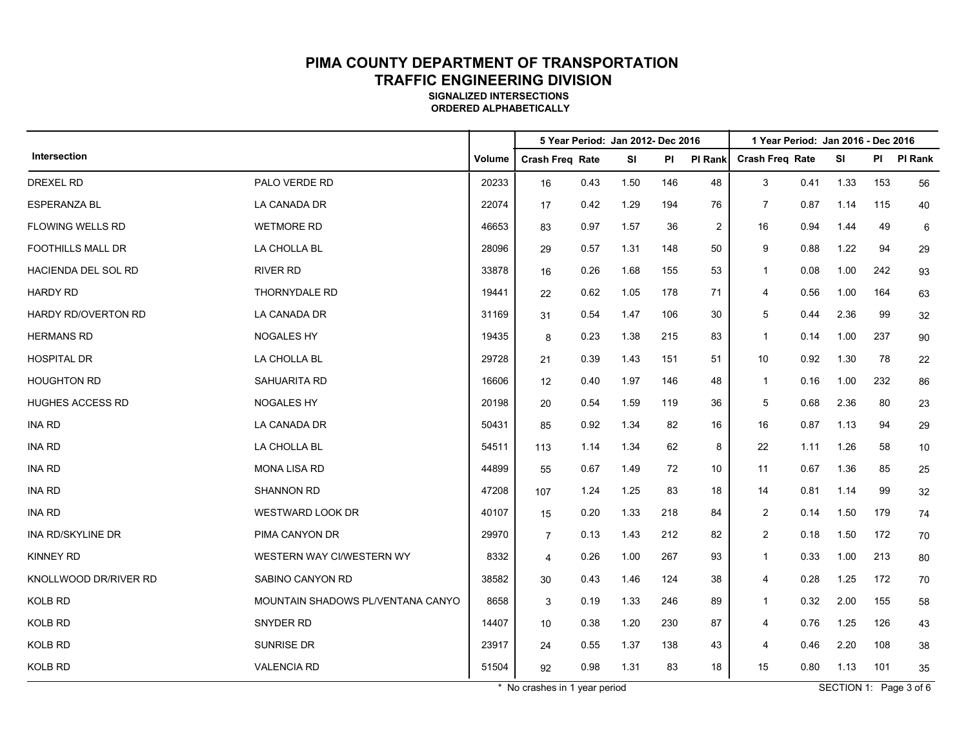**SIGNALIZED INTERSECTIONS ORDERED ALPHABETICALLY**

|                          |                                   |        |                        |      | 5 Year Period: Jan 2012- Dec 2016 |           |                | 1 Year Period: Jan 2016 - Dec 2016 |      |           |      |                |
|--------------------------|-----------------------------------|--------|------------------------|------|-----------------------------------|-----------|----------------|------------------------------------|------|-----------|------|----------------|
| Intersection             |                                   | Volume | <b>Crash Freg Rate</b> |      | <b>SI</b>                         | <b>PI</b> | <b>PI Rank</b> | <b>Crash Freg Rate</b>             |      | <b>SI</b> | PI – | <b>PI Rank</b> |
| <b>DREXEL RD</b>         | PALO VERDE RD                     | 20233  | 16                     | 0.43 | 1.50                              | 146       | 48             | 3                                  | 0.41 | 1.33      | 153  | 56             |
| <b>ESPERANZA BL</b>      | LA CANADA DR                      | 22074  | 17                     | 0.42 | 1.29                              | 194       | 76             | $\overline{7}$                     | 0.87 | 1.14      | 115  | 40             |
| FLOWING WELLS RD         | <b>WETMORE RD</b>                 | 46653  | 83                     | 0.97 | 1.57                              | 36        | $\overline{2}$ | 16                                 | 0.94 | 1.44      | 49   | 6              |
| <b>FOOTHILLS MALL DR</b> | LA CHOLLA BL                      | 28096  | 29                     | 0.57 | 1.31                              | 148       | 50             | 9                                  | 0.88 | 1.22      | 94   | 29             |
| HACIENDA DEL SOL RD      | <b>RIVER RD</b>                   | 33878  | 16                     | 0.26 | 1.68                              | 155       | 53             | $\mathbf{1}$                       | 0.08 | 1.00      | 242  | 93             |
| <b>HARDY RD</b>          | <b>THORNYDALE RD</b>              | 19441  | 22                     | 0.62 | 1.05                              | 178       | 71             | 4                                  | 0.56 | 1.00      | 164  | 63             |
| HARDY RD/OVERTON RD      | LA CANADA DR                      | 31169  | 31                     | 0.54 | 1.47                              | 106       | 30             | 5                                  | 0.44 | 2.36      | 99   | 32             |
| <b>HERMANS RD</b>        | <b>NOGALES HY</b>                 | 19435  | 8                      | 0.23 | 1.38                              | 215       | 83             | $\mathbf{1}$                       | 0.14 | 1.00      | 237  | 90             |
| <b>HOSPITAL DR</b>       | LA CHOLLA BL                      | 29728  | 21                     | 0.39 | 1.43                              | 151       | 51             | 10                                 | 0.92 | 1.30      | 78   | 22             |
| <b>HOUGHTON RD</b>       | <b>SAHUARITA RD</b>               | 16606  | 12                     | 0.40 | 1.97                              | 146       | 48             | $\mathbf{1}$                       | 0.16 | 1.00      | 232  | 86             |
| <b>HUGHES ACCESS RD</b>  | NOGALES HY                        | 20198  | 20                     | 0.54 | 1.59                              | 119       | 36             | 5                                  | 0.68 | 2.36      | 80   | 23             |
| INA RD                   | LA CANADA DR                      | 50431  | 85                     | 0.92 | 1.34                              | 82        | 16             | 16                                 | 0.87 | 1.13      | 94   | 29             |
| <b>INA RD</b>            | LA CHOLLA BL                      | 54511  | 113                    | 1.14 | 1.34                              | 62        | 8              | 22                                 | 1.11 | 1.26      | 58   | 10             |
| <b>INA RD</b>            | <b>MONA LISA RD</b>               | 44899  | 55                     | 0.67 | 1.49                              | 72        | 10             | 11                                 | 0.67 | 1.36      | 85   | 25             |
| <b>INA RD</b>            | <b>SHANNON RD</b>                 | 47208  | 107                    | 1.24 | 1.25                              | 83        | 18             | 14                                 | 0.81 | 1.14      | 99   | 32             |
| <b>INA RD</b>            | <b>WESTWARD LOOK DR</b>           | 40107  | 15                     | 0.20 | 1.33                              | 218       | 84             | $\overline{c}$                     | 0.14 | 1.50      | 179  | 74             |
| INA RD/SKYLINE DR        | PIMA CANYON DR                    | 29970  | $\overline{7}$         | 0.13 | 1.43                              | 212       | 82             | $\overline{2}$                     | 0.18 | 1.50      | 172  | 70             |
| <b>KINNEY RD</b>         | WESTERN WAY CI/WESTERN WY         | 8332   | $\overline{4}$         | 0.26 | 1.00                              | 267       | 93             | $\mathbf{1}$                       | 0.33 | 1.00      | 213  | 80             |
| KNOLLWOOD DR/RIVER RD    | SABINO CANYON RD                  | 38582  | 30                     | 0.43 | 1.46                              | 124       | 38             | 4                                  | 0.28 | 1.25      | 172  | 70             |
| KOLB RD                  | MOUNTAIN SHADOWS PL/VENTANA CANYO | 8658   | 3                      | 0.19 | 1.33                              | 246       | 89             | $\mathbf{1}$                       | 0.32 | 2.00      | 155  | 58             |
| <b>KOLB RD</b>           | SNYDER RD                         | 14407  | 10                     | 0.38 | 1.20                              | 230       | 87             | 4                                  | 0.76 | 1.25      | 126  | 43             |
| KOLB RD                  | SUNRISE DR                        | 23917  | 24                     | 0.55 | 1.37                              | 138       | 43             | 4                                  | 0.46 | 2.20      | 108  | 38             |
| KOLB RD                  | <b>VALENCIA RD</b>                | 51504  | 92                     | 0.98 | 1.31                              | 83        | 18             | 15                                 | 0.80 | 1.13      | 101  | 35             |

\* No crashes in 1 year period SECTION 1: Page 3 of 6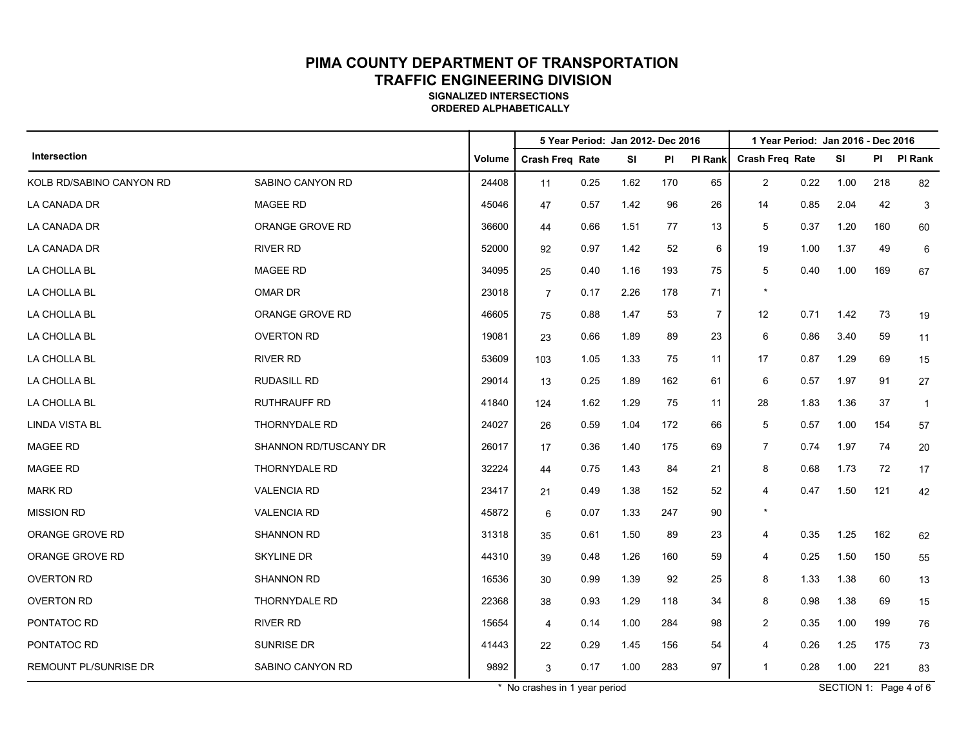**SIGNALIZED INTERSECTIONS ORDERED ALPHABETICALLY**

|                              |                       |        |                 |      | 5 Year Period: Jan 2012- Dec 2016 |     |                | 1 Year Period: Jan 2016 - Dec 2016 |      |           |           |                |
|------------------------------|-----------------------|--------|-----------------|------|-----------------------------------|-----|----------------|------------------------------------|------|-----------|-----------|----------------|
| Intersection                 |                       | Volume | Crash Freq Rate |      | <b>SI</b>                         | ΡI  | <b>PI Rank</b> | <b>Crash Freq Rate</b>             |      | <b>SI</b> | <b>PI</b> | <b>PI Rank</b> |
| KOLB RD/SABINO CANYON RD     | SABINO CANYON RD      | 24408  | 11              | 0.25 | 1.62                              | 170 | 65             | 2                                  | 0.22 | 1.00      | 218       | 82             |
| LA CANADA DR                 | MAGEE RD              | 45046  | 47              | 0.57 | 1.42                              | 96  | 26             | 14                                 | 0.85 | 2.04      | 42        | 3              |
| LA CANADA DR                 | ORANGE GROVE RD       | 36600  | 44              | 0.66 | 1.51                              | 77  | 13             | 5                                  | 0.37 | 1.20      | 160       | 60             |
| LA CANADA DR                 | <b>RIVER RD</b>       | 52000  | 92              | 0.97 | 1.42                              | 52  | 6              | 19                                 | 1.00 | 1.37      | 49        | 6              |
| LA CHOLLA BL                 | <b>MAGEE RD</b>       | 34095  | 25              | 0.40 | 1.16                              | 193 | 75             | 5                                  | 0.40 | 1.00      | 169       | 67             |
| LA CHOLLA BL                 | OMAR DR               | 23018  | $\overline{7}$  | 0.17 | 2.26                              | 178 | 71             | $\star$                            |      |           |           |                |
| LA CHOLLA BL                 | ORANGE GROVE RD       | 46605  | 75              | 0.88 | 1.47                              | 53  | $\overline{7}$ | 12                                 | 0.71 | 1.42      | 73        | 19             |
| LA CHOLLA BL                 | <b>OVERTON RD</b>     | 19081  | 23              | 0.66 | 1.89                              | 89  | 23             | 6                                  | 0.86 | 3.40      | 59        | 11             |
| LA CHOLLA BL                 | <b>RIVER RD</b>       | 53609  | 103             | 1.05 | 1.33                              | 75  | 11             | 17                                 | 0.87 | 1.29      | 69        | 15             |
| LA CHOLLA BL                 | <b>RUDASILL RD</b>    | 29014  | 13              | 0.25 | 1.89                              | 162 | 61             | 6                                  | 0.57 | 1.97      | 91        | 27             |
| LA CHOLLA BL                 | RUTHRAUFF RD          | 41840  | 124             | 1.62 | 1.29                              | 75  | 11             | 28                                 | 1.83 | 1.36      | 37        | $\overline{1}$ |
| <b>LINDA VISTA BL</b>        | THORNYDALE RD         | 24027  | 26              | 0.59 | 1.04                              | 172 | 66             | 5                                  | 0.57 | 1.00      | 154       | 57             |
| MAGEE RD                     | SHANNON RD/TUSCANY DR | 26017  | 17              | 0.36 | 1.40                              | 175 | 69             | $\overline{7}$                     | 0.74 | 1.97      | 74        | 20             |
| MAGEE RD                     | THORNYDALE RD         | 32224  | 44              | 0.75 | 1.43                              | 84  | 21             | 8                                  | 0.68 | 1.73      | 72        | 17             |
| <b>MARK RD</b>               | <b>VALENCIA RD</b>    | 23417  | 21              | 0.49 | 1.38                              | 152 | 52             | 4                                  | 0.47 | 1.50      | 121       | 42             |
| <b>MISSION RD</b>            | <b>VALENCIA RD</b>    | 45872  | 6               | 0.07 | 1.33                              | 247 | 90             | $\star$                            |      |           |           |                |
| ORANGE GROVE RD              | <b>SHANNON RD</b>     | 31318  | 35              | 0.61 | 1.50                              | 89  | 23             | 4                                  | 0.35 | 1.25      | 162       | 62             |
| ORANGE GROVE RD              | SKYLINE DR            | 44310  | 39              | 0.48 | 1.26                              | 160 | 59             | 4                                  | 0.25 | 1.50      | 150       | 55             |
| <b>OVERTON RD</b>            | <b>SHANNON RD</b>     | 16536  | 30              | 0.99 | 1.39                              | 92  | 25             | 8                                  | 1.33 | 1.38      | 60        | 13             |
| <b>OVERTON RD</b>            | THORNYDALE RD         | 22368  | 38              | 0.93 | 1.29                              | 118 | 34             | 8                                  | 0.98 | 1.38      | 69        | 15             |
| PONTATOC RD                  | <b>RIVER RD</b>       | 15654  | 4               | 0.14 | 1.00                              | 284 | 98             | 2                                  | 0.35 | 1.00      | 199       | 76             |
| PONTATOC RD                  | SUNRISE DR            | 41443  | 22              | 0.29 | 1.45                              | 156 | 54             | 4                                  | 0.26 | 1.25      | 175       | 73             |
| <b>REMOUNT PL/SUNRISE DR</b> | SABINO CANYON RD      | 9892   | 3               | 0.17 | 1.00                              | 283 | 97             | $\mathbf{1}$                       | 0.28 | 1.00      | 221       | 83             |

\* No crashes in 1 year period SECTION 1: Page 4 of 6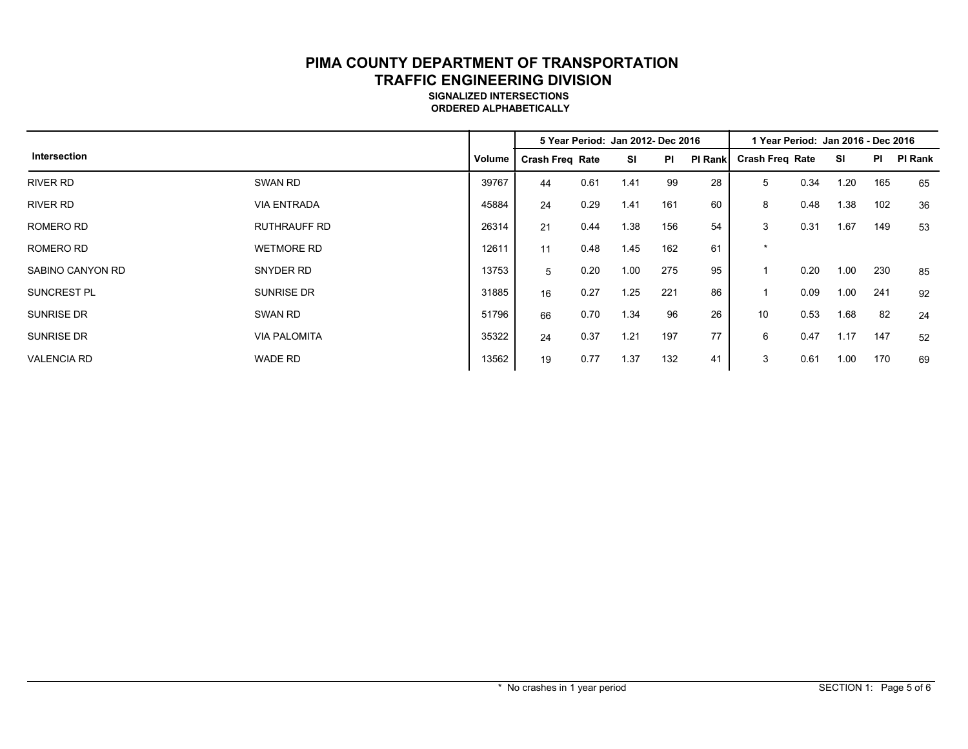#### **SIGNALIZED INTERSECTIONS ORDERED ALPHABETICALLY**

|                    |                     |        | 5 Year Period: Jan 2012- Dec 2016 |      |           |           |         | 1 Year Period: Jan 2016 - Dec 2016 |      |      |           |         |
|--------------------|---------------------|--------|-----------------------------------|------|-----------|-----------|---------|------------------------------------|------|------|-----------|---------|
| Intersection       |                     | Volume | <b>Crash Freg Rate</b>            |      | <b>SI</b> | <b>PI</b> | PI Rank | <b>Crash Freg Rate</b>             |      | SI   | <b>PI</b> | PI Rank |
| <b>RIVER RD</b>    | SWAN RD             | 39767  | 44                                | 0.61 | 1.41      | 99        | 28      | 5                                  | 0.34 | 1.20 | 165       | 65      |
| <b>RIVER RD</b>    | <b>VIA ENTRADA</b>  | 45884  | 24                                | 0.29 | 1.41      | 161       | 60      | 8                                  | 0.48 | 1.38 | 102       | 36      |
| ROMERO RD          | <b>RUTHRAUFF RD</b> | 26314  | 21                                | 0.44 | 1.38      | 156       | 54      | 3                                  | 0.31 | 1.67 | 149       | 53      |
| ROMERO RD          | <b>WETMORE RD</b>   | 12611  | 11                                | 0.48 | 1.45      | 162       | 61      | $\star$                            |      |      |           |         |
| SABINO CANYON RD   | SNYDER RD           | 13753  | 5                                 | 0.20 | 1.00      | 275       | 95      |                                    | 0.20 | 1.00 | 230       | 85      |
| <b>SUNCREST PL</b> | <b>SUNRISE DR</b>   | 31885  | 16                                | 0.27 | 1.25      | 221       | 86      |                                    | 0.09 | 1.00 | 241       | 92      |
| SUNRISE DR         | SWAN RD             | 51796  | 66                                | 0.70 | 1.34      | 96        | 26      | 10                                 | 0.53 | 1.68 | 82        | 24      |
| <b>SUNRISE DR</b>  | <b>VIA PALOMITA</b> | 35322  | 24                                | 0.37 | 1.21      | 197       | 77      | 6                                  | 0.47 | 1.17 | 147       | 52      |
| <b>VALENCIA RD</b> | <b>WADE RD</b>      | 13562  | 19                                | 0.77 | 1.37      | 132       | 41      | 3                                  | 0.61 | 1.00 | 170       | 69      |